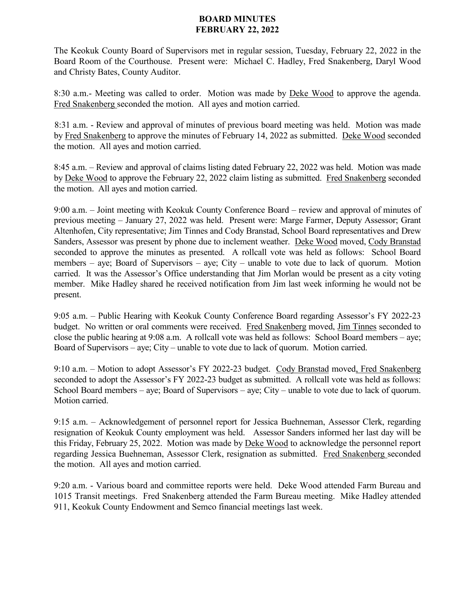## **BOARD MINUTES FEBRUARY 22, 2022**

The Keokuk County Board of Supervisors met in regular session, Tuesday, February 22, 2022 in the Board Room of the Courthouse. Present were: Michael C. Hadley, Fred Snakenberg, Daryl Wood and Christy Bates, County Auditor.

8:30 a.m.- Meeting was called to order. Motion was made by Deke Wood to approve the agenda. Fred Snakenberg seconded the motion. All ayes and motion carried.

8:31 a.m. - Review and approval of minutes of previous board meeting was held. Motion was made by Fred Snakenberg to approve the minutes of February 14, 2022 as submitted. Deke Wood seconded the motion. All ayes and motion carried.

8:45 a.m. – Review and approval of claims listing dated February 22, 2022 was held. Motion was made by Deke Wood to approve the February 22, 2022 claim listing as submitted. Fred Snakenberg seconded the motion. All ayes and motion carried.

9:00 a.m. – Joint meeting with Keokuk County Conference Board – review and approval of minutes of previous meeting – January 27, 2022 was held. Present were: Marge Farmer, Deputy Assessor; Grant Altenhofen, City representative; Jim Tinnes and Cody Branstad, School Board representatives and Drew Sanders, Assessor was present by phone due to inclement weather. Deke Wood moved, Cody Branstad seconded to approve the minutes as presented. A rollcall vote was held as follows: School Board members – aye; Board of Supervisors – aye; City – unable to vote due to lack of quorum. Motion carried. It was the Assessor's Office understanding that Jim Morlan would be present as a city voting member. Mike Hadley shared he received notification from Jim last week informing he would not be present.

9:05 a.m. – Public Hearing with Keokuk County Conference Board regarding Assessor's FY 2022-23 budget. No written or oral comments were received. Fred Snakenberg moved, Jim Tinnes seconded to close the public hearing at 9:08 a.m. A rollcall vote was held as follows: School Board members – aye; Board of Supervisors – aye; City – unable to vote due to lack of quorum. Motion carried.

9:10 a.m. – Motion to adopt Assessor's FY 2022-23 budget. Cody Branstad moved, Fred Snakenberg seconded to adopt the Assessor's FY 2022-23 budget as submitted. A rollcall vote was held as follows: School Board members – aye; Board of Supervisors – aye; City – unable to vote due to lack of quorum. Motion carried.

9:15 a.m. – Acknowledgement of personnel report for Jessica Buehneman, Assessor Clerk, regarding resignation of Keokuk County employment was held. Assessor Sanders informed her last day will be this Friday, February 25, 2022. Motion was made by Deke Wood to acknowledge the personnel report regarding Jessica Buehneman, Assessor Clerk, resignation as submitted. Fred Snakenberg seconded the motion. All ayes and motion carried.

9:20 a.m. - Various board and committee reports were held. Deke Wood attended Farm Bureau and 1015 Transit meetings. Fred Snakenberg attended the Farm Bureau meeting. Mike Hadley attended 911, Keokuk County Endowment and Semco financial meetings last week.